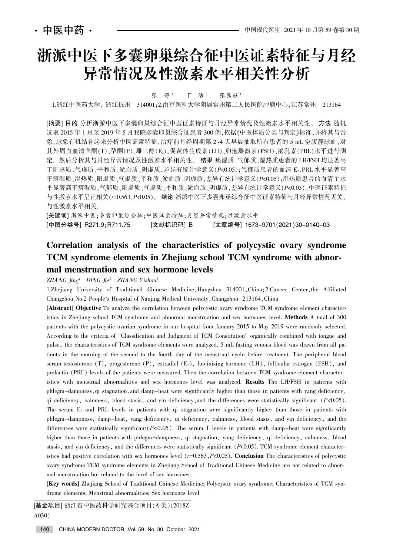# 浙派中医下多囊卵巢综合征中医证素特征与月经 异常情况及性激素水平相关性分析

张静<sup>1</sup> 丁 洁<sup>2</sup> 张翼宙<sup>1</sup>

1.浙江中医药大学, 浙江杭州 314001;2.南京医科大学附属常州第二人民医院肿瘤中心,江苏常州 213164

[摘要] 目的 分析浙派中医下多囊卵巢综合征中医证素特征与月经异常情况及性激素水平相关性。方法 随机 选取 2015 年 1 月至 2019 年 5 月我院多囊卵巢综合征患者 300 例,依据《中医体质分类与判定》标准,并将其与舌 象、脉象有机结合起来分析中医证素特征, 治疗前月经周期第 2~4 天早晨抽取所有患者的 5 mL 空腹静脉血, 对 其外周血血清睾酮(T)、孕酮(P)、雌二醇(E2)、促黄体生成素(LH)、卵泡雌激素(FSH)、泌乳素(PRL)水平进行测 定。然后分析其与月经异常情况及性激素水平相关性。 结果 痰湿质、气郁质、湿热质患者的 LH/FSH 均显著高 于阳虚质、气虚质、平和质、淤血质、阴虚质,差异有统计学意义(P<0.05);气郁质患者的血清 E2、PRL 水平显著高 于痰湿质、湿热质、阳虚质、气虚质、平和质、淤血质、阴虚质,差异有统计学意义(P<0.05);湿热质患者的血清 T 水 平显著高于痰湿质、气郁质、阳虚质、气虚质、平和质、淤血质、阴虚质,差异有统计学意义(P<0.05)。中医证素特征 与性激素水平呈正相关(r=0.563,P<0.05)。 结论 浙派中医下多囊卵巢综合征中医证素特征与月经异常情况无关, 与性激素水平相关。

[关键词] 浙派中医:多囊卵巢综合征:中医证素特征:月经异常情况:性激素水平 [中图分类号] R271.9;R711.75 [文献标识码] B [文章编号] 1673–9701(2021)30–0140–03

## Correlation analysis of the characteristics of polycystic ovary syndrome TCM syndrome elements in Zhejiang school TCM syndrome with abnormal menstruation and sex hormone levels

 $ZHANG$   $Jing<sup>1</sup>$   $DING$   $Jie<sup>2</sup>$   $ZHANG$   $Yizhou<sup>1</sup>$ 

1.Zhejiang University of Traditional Chinese Medicine, Hangzhou 314001, China; 2.Cancer Center, the Affiliated Changzhou No.2 People's Hospital of Nanjing Medical University, Changzhou 213164, China

[Abstract] Objective To analyze the correlation between polycystic ovary syndrome TCM syndrome element characteristics in Zhejiang school TCM syndrome and abnormal menstruation and sex hormones level. Methods A total of 300 patients with the polycystic ovarian syndrome in our hospital from January 2015 to May 2019 were randomly selected. According to the criteria of "Classification and Judgment of TCM Constitution" organically combined with tongue and pulse, the characteristics of TCM syndrome elements were analyzed. 5 mL fasting venous blood was drawn from all patients in the morning of the second to the fourth day of the menstrual cycle before treatment. The peripheral blood serum testosterone  $(T)$ , progesterone  $(P)$ , estradiol  $(E_2)$ , luteinizing hormone  $(LH)$ , follicular estrogen (FSH), and prolactin (PRL) levels of the patients were measured. Then the correlation between TCM syndrome element characteristics with menstrual abnormalities and sex hormones level was analyzed. Results The LH/FSH in patients with phlegm-dampness, qi stagnation, and damp-heat were significantly higher than those in patients with yang deficiency, qi deficiency, calmness, blood stasis, and yin deficiency, and the differences were statistically significant  $(P<0.05)$ . The serum  $E_2$  and PRL levels in patients with qi stagnation were significantly higher than those in patients with phlegm-dampness, damp-heat, yang deficiency, qi deficiency, calmness, blood stasis, and yin deficiency, and the differences were statistically significant  $(P<0.05)$ . The serum T levels in patients with damp-heat were significantly higher than those in patients with phlegm-dampness, qi stagnation, yang deficiency, qi deficiency, calmness, blood stasis, and yin deficiency, and the differences were statistically significant  $(P<0.05)$ . TCM syndrome element characteristics had positive correlation with sex hormones level  $(r=0.563, P<0.05)$ . Conclusion The characteristics of polycystic ovary syndrome TCM syndrome elements in Zhejiang School of Traditional Chinese Medicine are not related to abnormal menstruation but related to the level of sex hormones.

[Key words] Zhejiang School of Traditional Chinese Medicine; Polycystic ovary syndrome; Characteristics of TCM syndrome elements; Menstrual abnormalities; Sex hormones level

[基金项目] 浙江省中医药科学研究基金项目(A类)(2018Z  $A030)$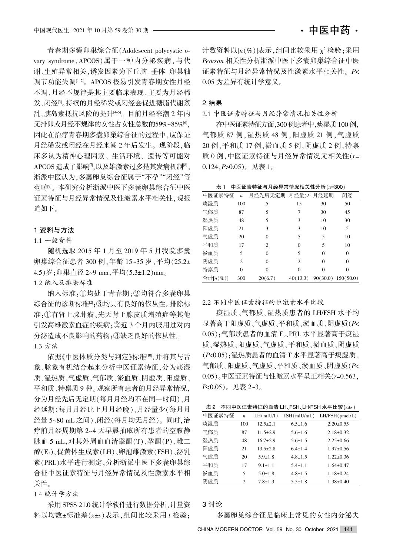青春期多囊卵巢综合征(Adolescent polycystic ovary syndrome, APCOS)属于一种内分泌疾病, 与代 谢、生殖异常相关,诱发因素为下丘脑-垂体-卵巢轴 调节功能失调<sup>[1-2]</sup>。APCOS 极易引发青春期女性月经 不调,月经不规律是其主要临床表现,主要为月经稀 发、闭经<sup>。</sup>"。持续的月经稀发或闭经会促进糖脂代谢紊 乱、胰岛素抵抗风险的提升[4-5]。目前月经来潮 2 年内 无排卵或月经不规律的女性占女性总数的59%~85%[6]. 因此在治疗青春期多囊卵巢综合征的过程中,应保证 月经稀发或闭经在月经来潮 2 年后发生。现阶段,临 床多认为精神心理因素、生活环境、遗传等可能对 APCOS 造成了影响<sup>n</sup>, 以及雄激素过多是其发病机制<sup>[8]</sup>。 浙派中医认为,多囊卵巢综合征属于"不孕""闭经"等 范畴<sup>[9]</sup>。本研究分析浙派中医下多囊卵巢综合征中医 证素特征与月经异常情况及性激素水平相关性,现报 道如下。

#### 1 资料与方法

#### 1.1 一般资料

随机选取 2015 年 1 月至 2019 年 5 月我院多囊 卵巢综合征患者 300 例,年龄 15~35 岁,平均(25.2± 4.5)岁:卵巢直径 2~9 mm, 平均(5.3±1.2)mm。 1.2 纳入及排除标准

纳入标准:1均处于青春期;2均符合多囊卵巢 综合征的诊断标准<sup>[2]</sup>;3均具有良好的依从性。排除标

准:①有肾上腺肿瘤、先天肾上腺皮质增殖症等其他 引发高雄激素血症的疾病: ②近 3 个月内服用过对内 分泌造成不良影响的药物;③缺乏良好的依从性。 1.3 方法

依据《中医体质分类与判定》标准[10],并将其与舌 象、脉象有机结合起来分析中医证素特征,分为痰湿 质、湿热质、气虚质、气郁质、淤血质、阴虚质、阳虚质、 平和质、特禀质 9 种。观察所有患者的月经异常情况, 分为月经先后无定期(每月月经均不在同一时间)、月 经延期(每月月经比上月月经晚)、月经量少(每月月 经量 5~80 mL 之间)、闭经(每月均无月经)。同时,治 疗前月经周期第 2~4 天早晨抽取所有患者的空腹静 脉血 5 mL, 对其外周血血清睾酮(T)、孕酮(P)、雌二 醇(E2)、促黄体生成素(LH)、卵泡雌激素(FSH)、泌乳 素(PRL)水平进行测定,分析浙派中医下多囊卵巢综 合征中医证素特征与月经异常情况及性激素水平相 关性。

#### 1.4 统计学方法

采用 SPSS 21.0 统计学软件进行数据分析, 计量资 料以均数±标准差 $(\bar{x}$ ±s)表示,组间比较采用  $t$  检验;

计数资料以 $[n(\%)]$ 表示,组间比较采用  $\chi^2$  检验;采用 Pearson 相关性分析浙派中医下多囊卵巢综合征中医 证素特征与月经异常情况及性激素水平相关性。P< 0.05 为差异有统计学意义。

### 2 结果

2.1 中医证素特征与月经异常情况相关性分析

在中医证素特征方面,300 例患者中,痰湿质 100 例, 气郁质 87 例, 湿热质 48 例, 阳虚质 21 例, 气虚质 20 例, 平和质 17 例, 淤血质 5 例, 阴虚质 2 例, 特禀 质 0 例, 中医证素特征与月经异常情况无相关性(r= 0.124,  $P > 0.05$ )。见表 1。

表 1 中医证素特征与月经异常情况相关性分析 $(n=300)$ 

| 中医证素特征       | $\boldsymbol{n}$ | 月经先后无定期 月经量少 |                | 月经延期 | 闭经                   |
|--------------|------------------|--------------|----------------|------|----------------------|
| 痰湿质          | 100              | 5            | 15             | 30   | 50                   |
| 气郁质          | 87               | 5            | 7              | 30   | 45                   |
| 湿热质          | 48               | 5            | 3              | 10   | 30                   |
| 阳虚质          | 21               | 3            | 3              | 10   | 5                    |
| 气虚质          | 20               | $\theta$     | 5              | 5    | 10                   |
| 平和质          | 17               | 2            | 0              | 5    | 10                   |
| 淤血质          | 5                | $\Omega$     | 5              | 0    | $\theta$             |
| 阴虚质          | $\overline{c}$   | $\Omega$     | $\overline{c}$ | 0    | $\Omega$             |
| 特禀质          | $\theta$         | $\Omega$     | 0              | 0    | $\Omega$             |
| 合计 $[n(\%)]$ | 300              | 20(6.7)      | 40(13.3)       |      | $90(30.0)$ 150(50.0) |

2.2 不同中医证素特征的性激素水平比较

痰湿质、气郁质、湿热质患者的 LH/FSH 水平均 显著高于阳虚质、气虚质、平和质、淤血质、阴虚质(P<  $(0.05)$ ;气郁质患者的血清 E<sub>2</sub>、PRL 水平显著高于痰湿 质、湿热质、阳虚质、气虚质、平和质、淤血质、阴虚质 (P<0.05);湿热质患者的血清 T 水平显著高于痰湿质、 气郁质、阳虚质、气虚质、平和质、淤血质、阴虚质(P<  $(0.05)$ 。中医证素特征与性激素水平呈正相关 $(r=0.563)$  $P<0.05$ )。见表 2~3。

表 2 不同中医证素特征的血清 LH、FSH、LH/FSH 水平比较 $(\bar{x} \pm s)$ 

| 中医证素特征 | $\boldsymbol{n}$ | LH(mIU/I)     | FSH(mIU/mL)   | LH/FSH(pmol/L)  |
|--------|------------------|---------------|---------------|-----------------|
| 痰湿质    | 100              | $12.5 + 2.1$  | $6.5 \pm 1.6$ | $2.20 \pm 0.55$ |
| 气郁质    | 87               | $11.5+2.9$    | $5.6 \pm 1.6$ | $2.18 \pm 0.32$ |
| 湿热质    | 48               | $16.7+2.9$    | $5.6 \pm 1.5$ | $2.25 \pm 0.66$ |
| 阳虚质    | 21               | $13.5 + 2.8$  | $6.4 \pm 1.4$ | $1.97 \pm 0.56$ |
| 气虚质    | 20               | $5.9 \pm 1.8$ | $4.8 \pm 1.5$ | $1.22 \pm 0.36$ |
| 平和质    | 17               | $9.1 \pm 1.1$ | $5.4 \pm 1.1$ | $1.64 \pm 0.47$ |
| 淤血质    | 5                | $5.0 \pm 1.8$ | $4.8 \pm 1.5$ | $1.18 \pm 0.24$ |
| 阴虚质    | 2                | $7.8 \pm 1.3$ | $5.5 \pm 1.8$ | $1.38 \pm 0.40$ |

### 3 讨论

多囊卵巢综合征是临床上常见的女性内分泌失

CHINA MODERN DOCTOR Vol. 59 No. 30 October 2021 141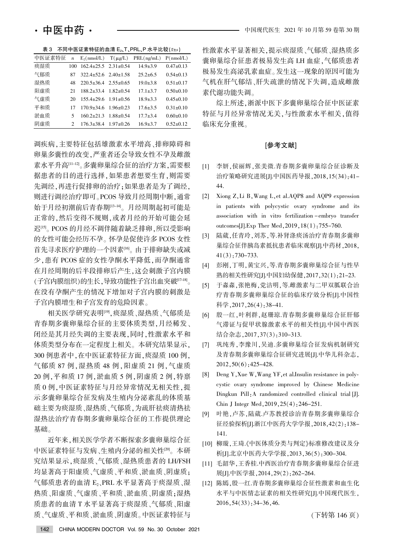| 中医证素特征 | $\boldsymbol{n}$ | $E_2$ (nmol/L)                   | $T(\mu g/L)$    | PRL(ng/mL)     | P(mmol/L)       |
|--------|------------------|----------------------------------|-----------------|----------------|-----------------|
| 痰湿质    | 100              | $162.4 \pm 25.5$ $2.31 \pm 0.54$ |                 | $14.9 + 3.9$   | $0.47+0.13$     |
| 气郁质    | 87               | $322.4 \pm 52.6$ $2.40 \pm 1.58$ |                 | $25.2 + 6.5$   | $0.54 \pm 0.13$ |
| 湿热质    | 48               | $220.5 \pm 36.4$ $2.55 \pm 0.65$ |                 | $19.0 \pm 3.8$ | $0.51 \pm 0.17$ |
| 阳虚质    | 21               | $188.2 \pm 33.4$ $1.82 \pm 0.54$ |                 | $17.1 \pm 3.7$ | $0.50+0.10$     |
| 气虚质    | 20               | $155.4 \pm 29.6$ $1.91 \pm 0.56$ |                 | $18.9 + 3.3$   | $0.45 \pm 0.10$ |
| 平和质    | 17               | $170.9 \pm 34.6$ $1.96 \pm 0.23$ |                 | $17.6 + 3.5$   | $0.31 \pm 0.10$ |
| 淤血质    | 5                | $160.2 \pm 21.3$                 | $1.88 \pm 0.54$ | $17.7 + 3.4$   | $0.60+0.10$     |
| 阴虚质    | 2                | $176.3 \pm 38.4$                 | $1.97 \pm 0.26$ | $16.9 + 3.7$   | $0.52 \pm 0.12$ |

表 3 不同中医证素特征的血清  $E_2$ T、PRL、P 水平比较 $(x \pm s)$ 

调疾病,主要特征包括雄激素水平增高、排卵障碍和 卵巢多囊性的改变,严重者还会导致女性不孕及雌激 素水平升高[11-12]。多囊卵巢综合征的治疗方案,需要根 据患者的目的进行选择,如果患者想要生育,则需要 先调经,再进行促排卵的治疗;如果患者是为了调经, 则进行调经治疗即可。PCOS 导致月经周期中断,通常 始于月经初潮前后青春期[13-14]。月经周期起初可能是 正常的,然后变得不规则,或者月经的开始可能会延 迟[15]。PCOS 的月经不调伴随着缺乏排卵,所以受影响 的女性可能会经历不孕。怀孕是促使许多 PCOS 女性 首先寻求医疗护理的一个因素[16]。由于排卵缺失或减 少,患有 PCOS 症的女性孕酮水平降低,而孕酮通常 在月经周期的后半段排卵后产生,这会刺激子宫内膜 (子宫内膜组织)的生长,导致功能性子宫出血突破[17-18]。 在没有孕酮产生的情况下增加对子宫内膜的刺激是 子宫内膜增生和子宫发育的危险因素。

相关医学研究表明<sup>[19]</sup>,痰湿质、湿热质、气郁质是 青春期多囊卵巢综合征的主要体质类型,月经稀发、 闭经是其月经失调的主要表现,同时,性激素水平和 体质类型分布在一定程度上相关。本研究结果显示。 300 例患者中, 在中医证素特征方面, 痰湿质 100 例, 气郁质 87 例,湿热质 48 例,阳虚质 21 例,气虚质 20 例, 平和质 17 例, 淤血质 5 例, 阴虚质 2 例, 特禀 质 0 例, 中医证素特征与月经异常情况无相关性, 提 示多囊卵巢综合征发病及生殖内分泌紊乱的体质基 础主要为痰湿质、湿热质、气郁质,为疏肝祛痰清热祛 湿热法治疗青春期多囊卵巢综合征的工作提供理论 基础。

近年来,相关医学学者不断探索多囊卵巢综合征 中医证素特征与发病、生殖内分泌的相关性[20]。本研 究结果显示,痰湿质、气郁质、湿热质患者的 LH/FSH 均显著高于阳虚质、气虚质、平和质、淤血质、阴虚质; 气郁质患者的血清 E2、PRL 水平显著高于痰湿质、湿 热质、阳虚质、气虚质、平和质、淤血质、阴虚质;湿热 质患者的血清 T 水平显著高于痰湿质、气郁质、阳虚 质、气虚质、平和质、淤血质、阴虚质。中医证素特征与

性激素水平显著相关,提示痰湿质、气郁质、湿热质多 囊卵巢综合征患者极易发生高 LH 血症,气郁质患者 极易发生高泌乳素血症。发生这一现象的原因可能为 气机在肝气郁结、肝失疏泄的情况下失调,造成雌激 素代谢功能失调。

综上所述,浙派中医下多囊卵巢综合征中医证素 特征与月经异常情况无关,与性激素水平相关,值得 临床充分重视。

#### [参考文献]

- [1] 李妍,侯丽辉,张美微.青春期多囊卵巢综合征诊断及 治疗策略研究进展[J].中国医药导报, 2018, 15(34): 41-44.
- [2] Xiong Z, Li B, Wang L, et al.AQP8 and AQP9 expression in patients with polycystic ovary syndrome and its association with in vitro fertilization -embryo transfer outcomes[J].Exp Ther Med,  $2019, 18(1)$ : 755-760.
- [3] 陆葳,任青玲,刘苏,等.补肾涤痰汤治疗青春期多囊卵 巢综合征伴胰岛素抵抗患者临床观察[J].中药材,2018,  $41(3)$ : 730-733.
- [4] 彭刚,丁明,黄宝兴,等.青春期多囊卵巢综合征与性早 熟的相关性研究[J].中国妇幼保健,2017,32(1):21-23.
- [5] 于淼淼,张艳梅,党洁明,等.雌激素与二甲双胍联合治 疗青春期多囊卵巢综合征的临床疗效分析[J].中国性 科学,  $2017$ ,  $26(4)$ :  $38-41$ .
- [6] 殷一红,叶利群,赵珊琼.青春期多囊卵巢综合征肝郁 气滞证与促甲状腺激素水平的相关性[J].中国中西医 结合杂志, 2017, 37(3): 310-313.
- [7] 巩纯秀,李豫川,吴迪.多囊卵巢综合征发病机制研究 及青春期多囊卵巢综合征研究进展[J].中华儿科杂志,  $2012, 50(6)$ : 425-428.
- [8] Deng Y, Xue W, Wang YF, et al.Insulin resistance in polycystic ovary syndrome improved by Chinese Medicine Dingkun Pill: A randomized controlled clinical trial [J]. Chin J Integr Med.  $2019.25(4)$ :  $246-251$ .
- [9] 叶艳,卢苏,陆葳.卢苏教授诊治青春期多囊卵巢综合 征经验探析[J].浙江中医药大学学报,2018,42(2):138-141.
- [10] 柳璇,王琦.《中医体质分类与判定》标准修改建议及分 析[J].北京中医药大学学报.2013.36(5):300-304.
- [11] 毛韶华.王香桂.中西医治疗青春期多囊卵巢综合征进 展[J].中医学报, 2014, 29(2): 262-264.
- [12] 陈嫣, 殷一红.青春期多囊卵巢综合征性激素和血生化 水平与中医情志证素的相关性研究[J].中国现代医生,  $2016, 54(33): 34-36, 46.$

(下转第 146页)